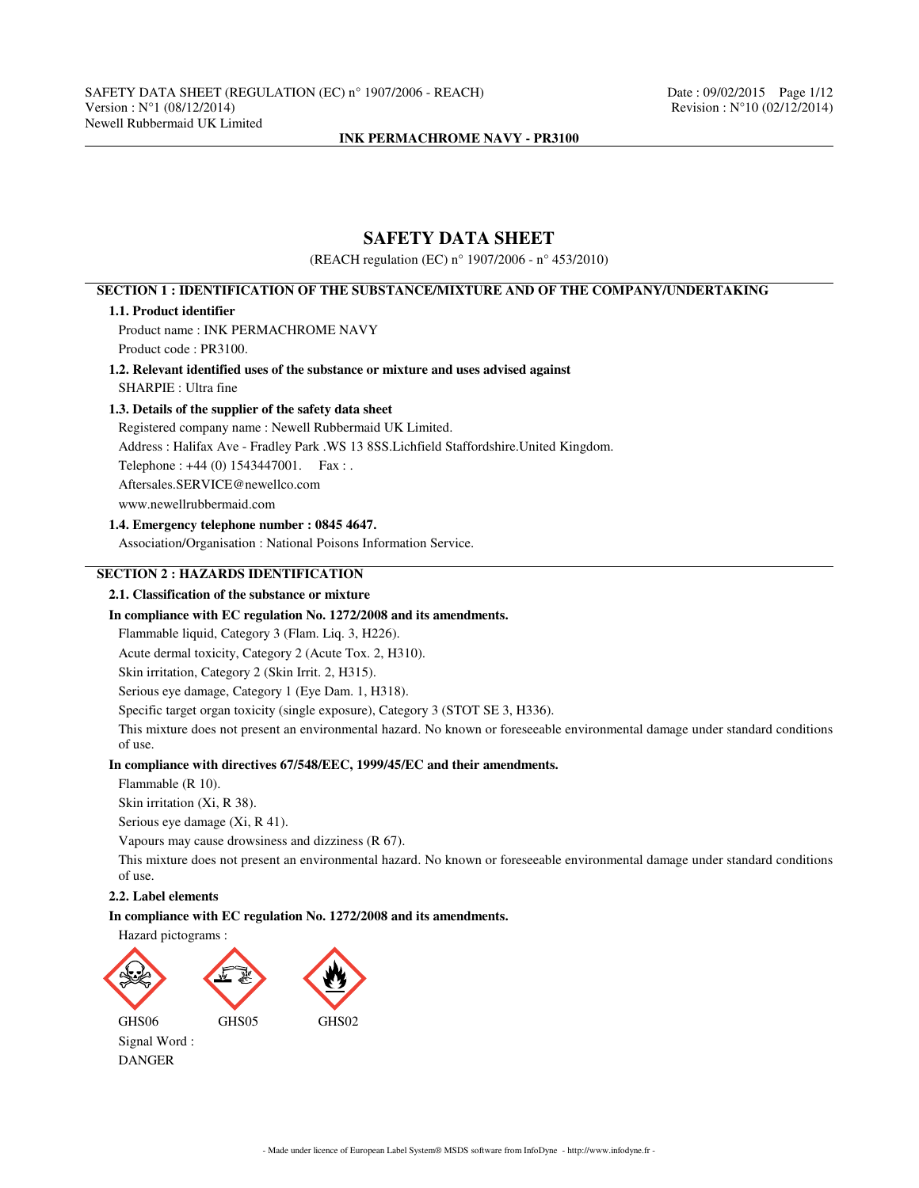# **SAFETY DATA SHEET**

(REACH regulation (EC) n° 1907/2006 - n° 453/2010)

# **SECTION 1 : IDENTIFICATION OF THE SUBSTANCE/MIXTURE AND OF THE COMPANY/UNDERTAKING**

### **1.1. Product identifier**

Product name : INK PERMACHROME NAVY Product code : PR3100.

**1.2. Relevant identified uses of the substance or mixture and uses advised against** SHARPIE : Ultra fine

### **1.3. Details of the supplier of the safety data sheet**

Registered company name : Newell Rubbermaid UK Limited.

Address : Halifax Ave - Fradley Park .WS 13 8SS.Lichfield Staffordshire.United Kingdom.

Telephone : +44 (0) 1543447001. Fax : .

Aftersales.SERVICE@newellco.com

www.newellrubbermaid.com

### **1.4. Emergency telephone number : 0845 4647.**

Association/Organisation : National Poisons Information Service.

# **SECTION 2 : HAZARDS IDENTIFICATION**

### **2.1. Classification of the substance or mixture**

#### **In compliance with EC regulation No. 1272/2008 and its amendments.**

Flammable liquid, Category 3 (Flam. Liq. 3, H226).

Acute dermal toxicity, Category 2 (Acute Tox. 2, H310).

Skin irritation, Category 2 (Skin Irrit. 2, H315).

Serious eye damage, Category 1 (Eye Dam. 1, H318).

Specific target organ toxicity (single exposure), Category 3 (STOT SE 3, H336).

This mixture does not present an environmental hazard. No known or foreseeable environmental damage under standard conditions of use.

# **In compliance with directives 67/548/EEC, 1999/45/EC and their amendments.**

Flammable (R 10).

Skin irritation (Xi, R 38).

Serious eye damage (Xi, R 41).

Vapours may cause drowsiness and dizziness (R 67).

This mixture does not present an environmental hazard. No known or foreseeable environmental damage under standard conditions of use.

# **2.2. Label elements**

**In compliance with EC regulation No. 1272/2008 and its amendments.**

#### Hazard pictograms :



Signal Word : DANGER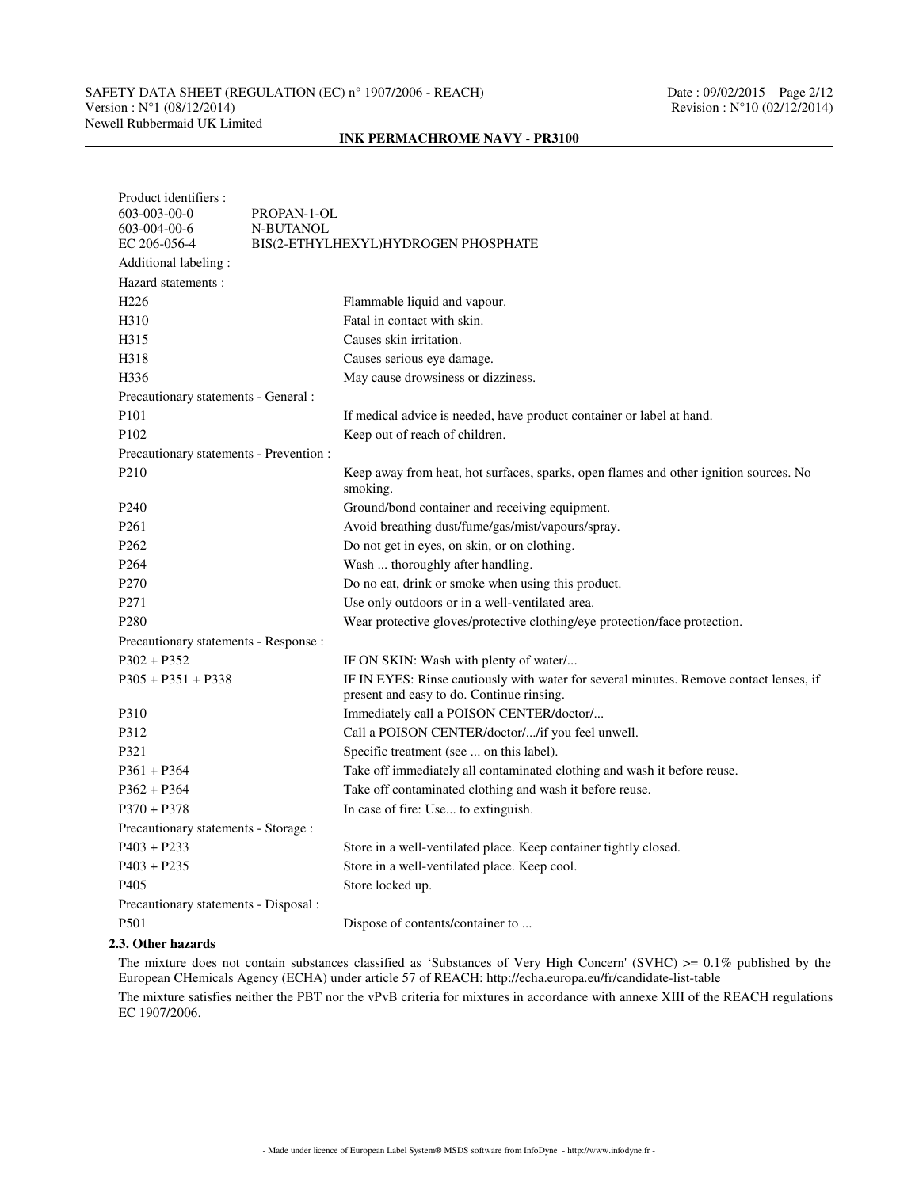# SAFETY DATA SHEET (REGULATION (EC) n° 1907/2006 - REACH) Date : 09/02/2015 Page 2/12<br>Version : N°1 (08/12/2014) Revision : N°10 (02/12/2014) Newell Rubbermaid UK Limited

### **INK PERMACHROME NAVY - PR3100**

| Product identifiers :                   |                                                                                                                                     |  |  |  |  |  |
|-----------------------------------------|-------------------------------------------------------------------------------------------------------------------------------------|--|--|--|--|--|
| 603-003-00-0                            | PROPAN-1-OL                                                                                                                         |  |  |  |  |  |
| 603-004-00-6                            | N-BUTANOL                                                                                                                           |  |  |  |  |  |
| EC 206-056-4                            | BIS(2-ETHYLHEXYL)HYDROGEN PHOSPHATE                                                                                                 |  |  |  |  |  |
| Additional labeling:                    |                                                                                                                                     |  |  |  |  |  |
| Hazard statements:                      |                                                                                                                                     |  |  |  |  |  |
| H <sub>226</sub>                        | Flammable liquid and vapour.                                                                                                        |  |  |  |  |  |
| H <sub>310</sub>                        | Fatal in contact with skin.                                                                                                         |  |  |  |  |  |
| H315                                    | Causes skin irritation.                                                                                                             |  |  |  |  |  |
| H318                                    | Causes serious eye damage.                                                                                                          |  |  |  |  |  |
| H <sub>336</sub>                        | May cause drowsiness or dizziness.                                                                                                  |  |  |  |  |  |
| Precautionary statements - General :    |                                                                                                                                     |  |  |  |  |  |
| P <sub>10</sub> 1                       | If medical advice is needed, have product container or label at hand.                                                               |  |  |  |  |  |
| P <sub>102</sub>                        | Keep out of reach of children.                                                                                                      |  |  |  |  |  |
| Precautionary statements - Prevention : |                                                                                                                                     |  |  |  |  |  |
| P <sub>2</sub> 10                       | Keep away from heat, hot surfaces, sparks, open flames and other ignition sources. No<br>smoking.                                   |  |  |  |  |  |
| P <sub>240</sub>                        | Ground/bond container and receiving equipment.                                                                                      |  |  |  |  |  |
| P <sub>261</sub>                        | Avoid breathing dust/fume/gas/mist/vapours/spray.                                                                                   |  |  |  |  |  |
| P <sub>262</sub>                        | Do not get in eyes, on skin, or on clothing.                                                                                        |  |  |  |  |  |
| P <sub>264</sub>                        | Wash  thoroughly after handling.                                                                                                    |  |  |  |  |  |
| P <sub>270</sub>                        | Do no eat, drink or smoke when using this product.                                                                                  |  |  |  |  |  |
| P <sub>271</sub>                        | Use only outdoors or in a well-ventilated area.                                                                                     |  |  |  |  |  |
| P <sub>280</sub>                        | Wear protective gloves/protective clothing/eye protection/face protection.                                                          |  |  |  |  |  |
| Precautionary statements - Response :   |                                                                                                                                     |  |  |  |  |  |
| $P302 + P352$                           | IF ON SKIN: Wash with plenty of water/                                                                                              |  |  |  |  |  |
| $P305 + P351 + P338$                    | IF IN EYES: Rinse cautiously with water for several minutes. Remove contact lenses, if<br>present and easy to do. Continue rinsing. |  |  |  |  |  |
| P310                                    | Immediately call a POISON CENTER/doctor/                                                                                            |  |  |  |  |  |
| P312                                    | Call a POISON CENTER/doctor//if you feel unwell.                                                                                    |  |  |  |  |  |
| P321                                    | Specific treatment (see  on this label).                                                                                            |  |  |  |  |  |
| $P361 + P364$                           | Take off immediately all contaminated clothing and wash it before reuse.                                                            |  |  |  |  |  |
| $P362 + P364$                           | Take off contaminated clothing and wash it before reuse.                                                                            |  |  |  |  |  |
| $P370 + P378$                           | In case of fire: Use to extinguish.                                                                                                 |  |  |  |  |  |
| Precautionary statements - Storage :    |                                                                                                                                     |  |  |  |  |  |
| $P403 + P233$                           | Store in a well-ventilated place. Keep container tightly closed.                                                                    |  |  |  |  |  |
| $P403 + P235$                           | Store in a well-ventilated place. Keep cool.                                                                                        |  |  |  |  |  |
| P <sub>405</sub>                        | Store locked up.                                                                                                                    |  |  |  |  |  |
| Precautionary statements - Disposal :   |                                                                                                                                     |  |  |  |  |  |
| P501                                    | Dispose of contents/container to                                                                                                    |  |  |  |  |  |
|                                         |                                                                                                                                     |  |  |  |  |  |

# **2.3. Other hazards**

The mixture does not contain substances classified as 'Substances of Very High Concern' (SVHC) >= 0.1% published by the European CHemicals Agency (ECHA) under article 57 of REACH: http://echa.europa.eu/fr/candidate-list-table

The mixture satisfies neither the PBT nor the vPvB criteria for mixtures in accordance with annexe XIII of the REACH regulations EC 1907/2006.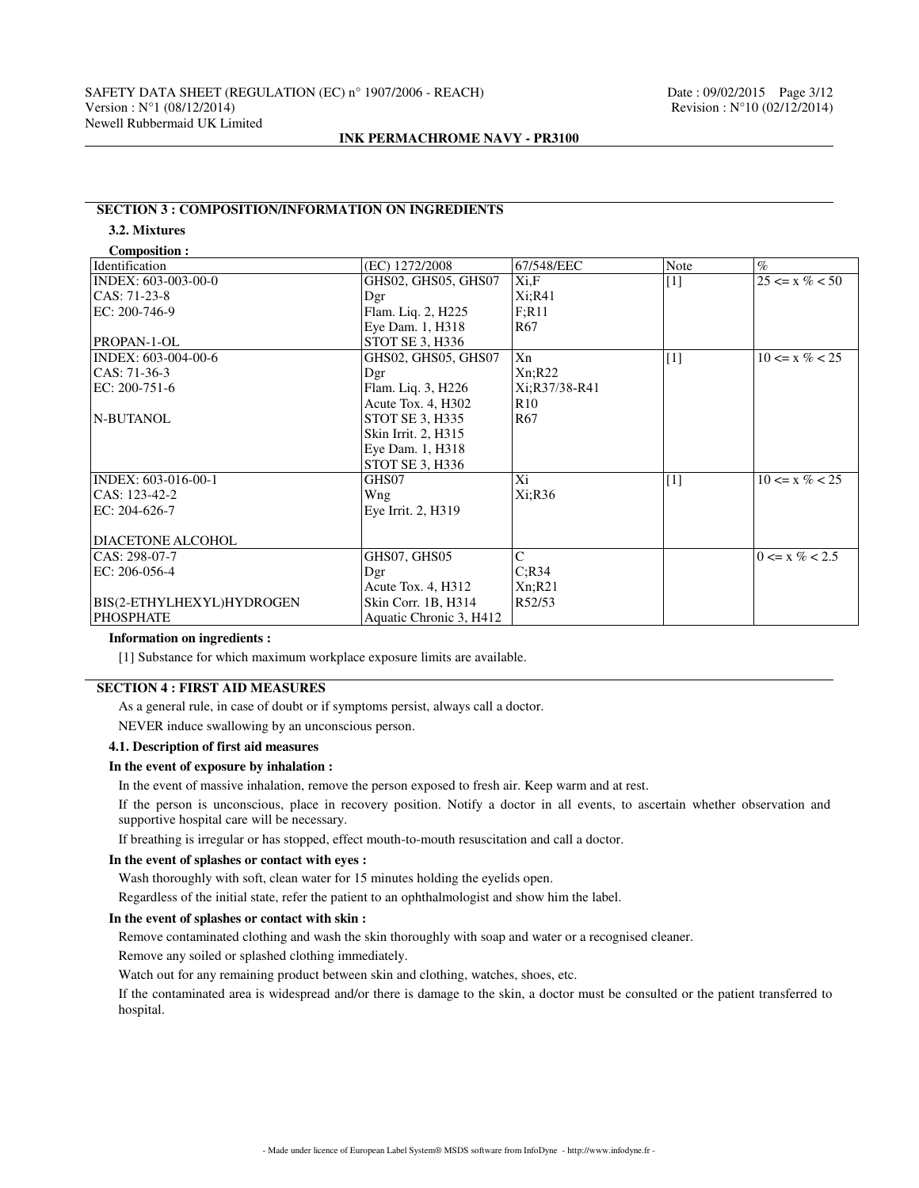# **SECTION 3 : COMPOSITION/INFORMATION ON INGREDIENTS**

# **3.2. Mixtures**

| <b>Composition:</b> |  |
|---------------------|--|

| $\%$               |
|--------------------|
|                    |
| $25 \le x \% < 50$ |
|                    |
|                    |
|                    |
|                    |
| $10 \le x \% < 25$ |
|                    |
|                    |
|                    |
|                    |
|                    |
|                    |
|                    |
| $10 \le x \% < 25$ |
|                    |
|                    |
|                    |
|                    |
| $0 \le x \% < 2.5$ |
|                    |
|                    |
|                    |
|                    |
|                    |

# **Information on ingredients :**

[1] Substance for which maximum workplace exposure limits are available.

# **SECTION 4 : FIRST AID MEASURES**

As a general rule, in case of doubt or if symptoms persist, always call a doctor.

NEVER induce swallowing by an unconscious person.

# **4.1. Description of first aid measures**

### **In the event of exposure by inhalation :**

In the event of massive inhalation, remove the person exposed to fresh air. Keep warm and at rest.

If the person is unconscious, place in recovery position. Notify a doctor in all events, to ascertain whether observation and supportive hospital care will be necessary.

If breathing is irregular or has stopped, effect mouth-to-mouth resuscitation and call a doctor.

### **In the event of splashes or contact with eyes :**

Wash thoroughly with soft, clean water for 15 minutes holding the eyelids open.

Regardless of the initial state, refer the patient to an ophthalmologist and show him the label.

# **In the event of splashes or contact with skin :**

Remove contaminated clothing and wash the skin thoroughly with soap and water or a recognised cleaner.

Remove any soiled or splashed clothing immediately.

Watch out for any remaining product between skin and clothing, watches, shoes, etc.

If the contaminated area is widespread and/or there is damage to the skin, a doctor must be consulted or the patient transferred to hospital.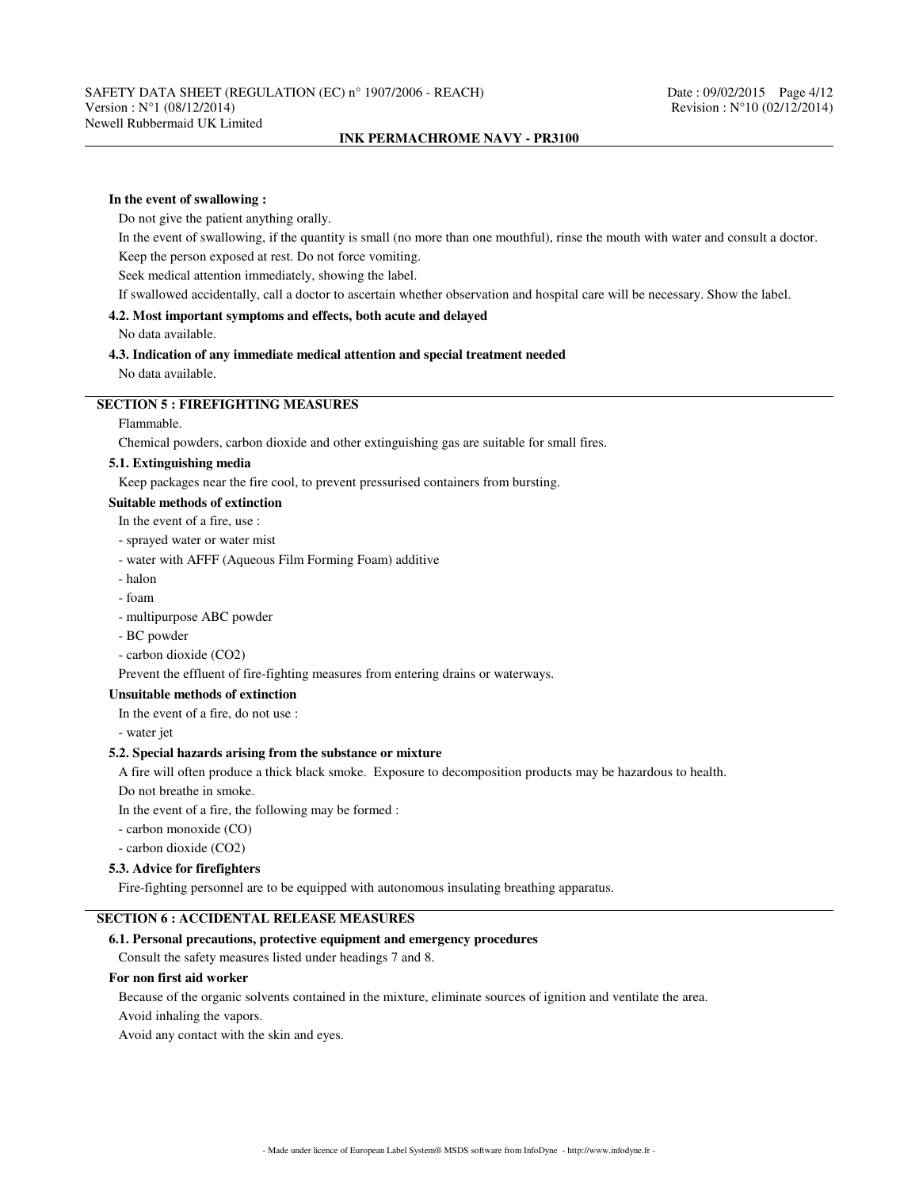### **In the event of swallowing :**

Do not give the patient anything orally.

In the event of swallowing, if the quantity is small (no more than one mouthful), rinse the mouth with water and consult a doctor.

Keep the person exposed at rest. Do not force vomiting.

Seek medical attention immediately, showing the label.

If swallowed accidentally, call a doctor to ascertain whether observation and hospital care will be necessary. Show the label.

# **4.2. Most important symptoms and effects, both acute and delayed**

No data available.

### **4.3. Indication of any immediate medical attention and special treatment needed** No data available.

# **SECTION 5 : FIREFIGHTING MEASURES**

#### Flammable.

Chemical powders, carbon dioxide and other extinguishing gas are suitable for small fires.

# **5.1. Extinguishing media**

Keep packages near the fire cool, to prevent pressurised containers from bursting.

### **Suitable methods of extinction**

In the event of a fire, use :

- sprayed water or water mist
- water with AFFF (Aqueous Film Forming Foam) additive
- halon
- foam
- multipurpose ABC powder
- BC powder
- carbon dioxide (CO2)

Prevent the effluent of fire-fighting measures from entering drains or waterways.

### **Unsuitable methods of extinction**

In the event of a fire, do not use :

- water jet

# **5.2. Special hazards arising from the substance or mixture**

A fire will often produce a thick black smoke. Exposure to decomposition products may be hazardous to health.

Do not breathe in smoke.

In the event of a fire, the following may be formed :

- carbon monoxide (CO)
- carbon dioxide (CO2)

### **5.3. Advice for firefighters**

Fire-fighting personnel are to be equipped with autonomous insulating breathing apparatus.

# **SECTION 6 : ACCIDENTAL RELEASE MEASURES**

# **6.1. Personal precautions, protective equipment and emergency procedures**

Consult the safety measures listed under headings 7 and 8.

#### **For non first aid worker**

Because of the organic solvents contained in the mixture, eliminate sources of ignition and ventilate the area.

Avoid inhaling the vapors.

Avoid any contact with the skin and eyes.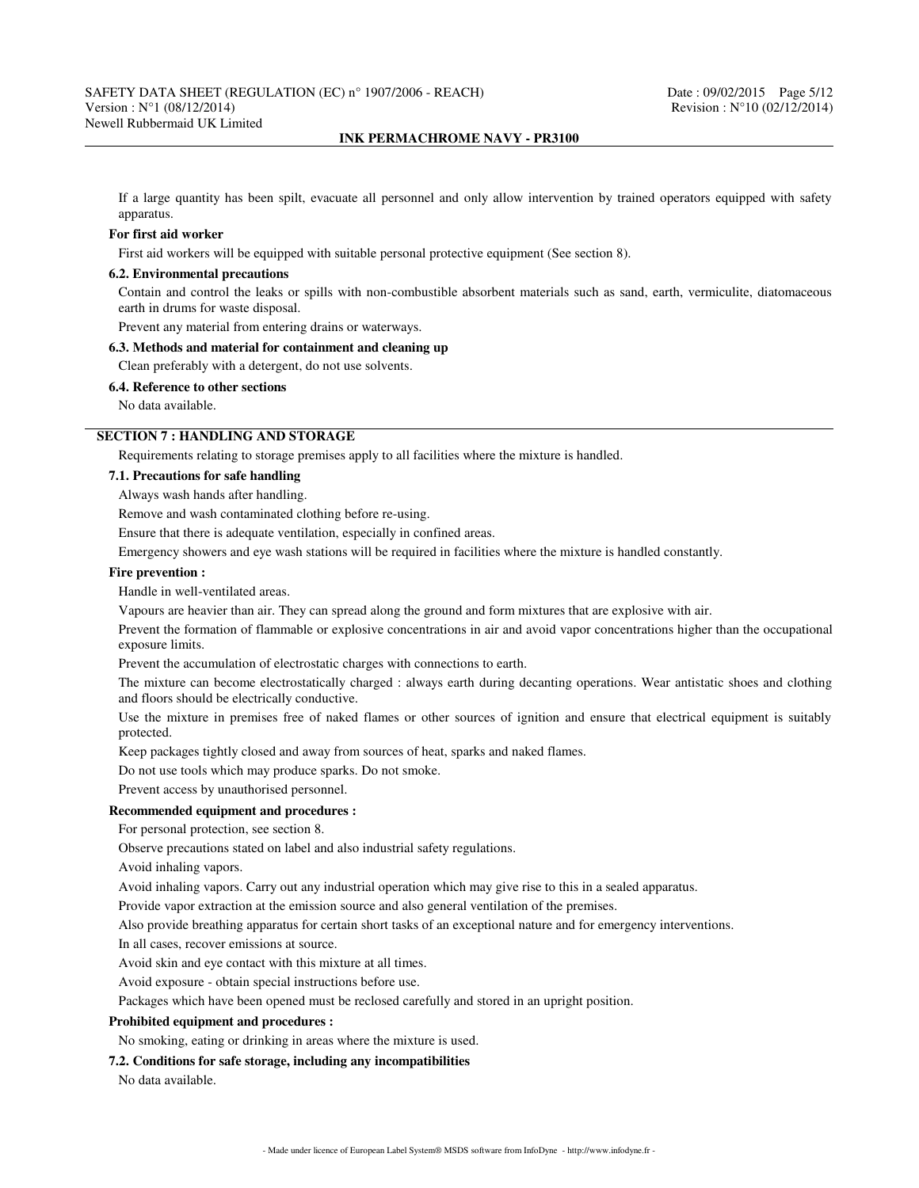If a large quantity has been spilt, evacuate all personnel and only allow intervention by trained operators equipped with safety apparatus.

#### **For first aid worker**

First aid workers will be equipped with suitable personal protective equipment (See section 8).

#### **6.2. Environmental precautions**

Contain and control the leaks or spills with non-combustible absorbent materials such as sand, earth, vermiculite, diatomaceous earth in drums for waste disposal.

Prevent any material from entering drains or waterways.

### **6.3. Methods and material for containment and cleaning up**

Clean preferably with a detergent, do not use solvents.

### **6.4. Reference to other sections**

No data available.

# **SECTION 7 : HANDLING AND STORAGE**

Requirements relating to storage premises apply to all facilities where the mixture is handled.

#### **7.1. Precautions for safe handling**

Always wash hands after handling.

Remove and wash contaminated clothing before re-using.

Ensure that there is adequate ventilation, especially in confined areas.

Emergency showers and eye wash stations will be required in facilities where the mixture is handled constantly.

#### **Fire prevention :**

Handle in well-ventilated areas.

Vapours are heavier than air. They can spread along the ground and form mixtures that are explosive with air.

Prevent the formation of flammable or explosive concentrations in air and avoid vapor concentrations higher than the occupational exposure limits.

Prevent the accumulation of electrostatic charges with connections to earth.

The mixture can become electrostatically charged : always earth during decanting operations. Wear antistatic shoes and clothing and floors should be electrically conductive.

Use the mixture in premises free of naked flames or other sources of ignition and ensure that electrical equipment is suitably protected.

Keep packages tightly closed and away from sources of heat, sparks and naked flames.

Do not use tools which may produce sparks. Do not smoke.

Prevent access by unauthorised personnel.

### **Recommended equipment and procedures :**

For personal protection, see section 8.

Observe precautions stated on label and also industrial safety regulations.

Avoid inhaling vapors.

Avoid inhaling vapors. Carry out any industrial operation which may give rise to this in a sealed apparatus.

Provide vapor extraction at the emission source and also general ventilation of the premises.

Also provide breathing apparatus for certain short tasks of an exceptional nature and for emergency interventions.

In all cases, recover emissions at source.

Avoid skin and eye contact with this mixture at all times.

Avoid exposure - obtain special instructions before use.

Packages which have been opened must be reclosed carefully and stored in an upright position.

### **Prohibited equipment and procedures :**

No smoking, eating or drinking in areas where the mixture is used.

**7.2. Conditions for safe storage, including any incompatibilities**

No data available.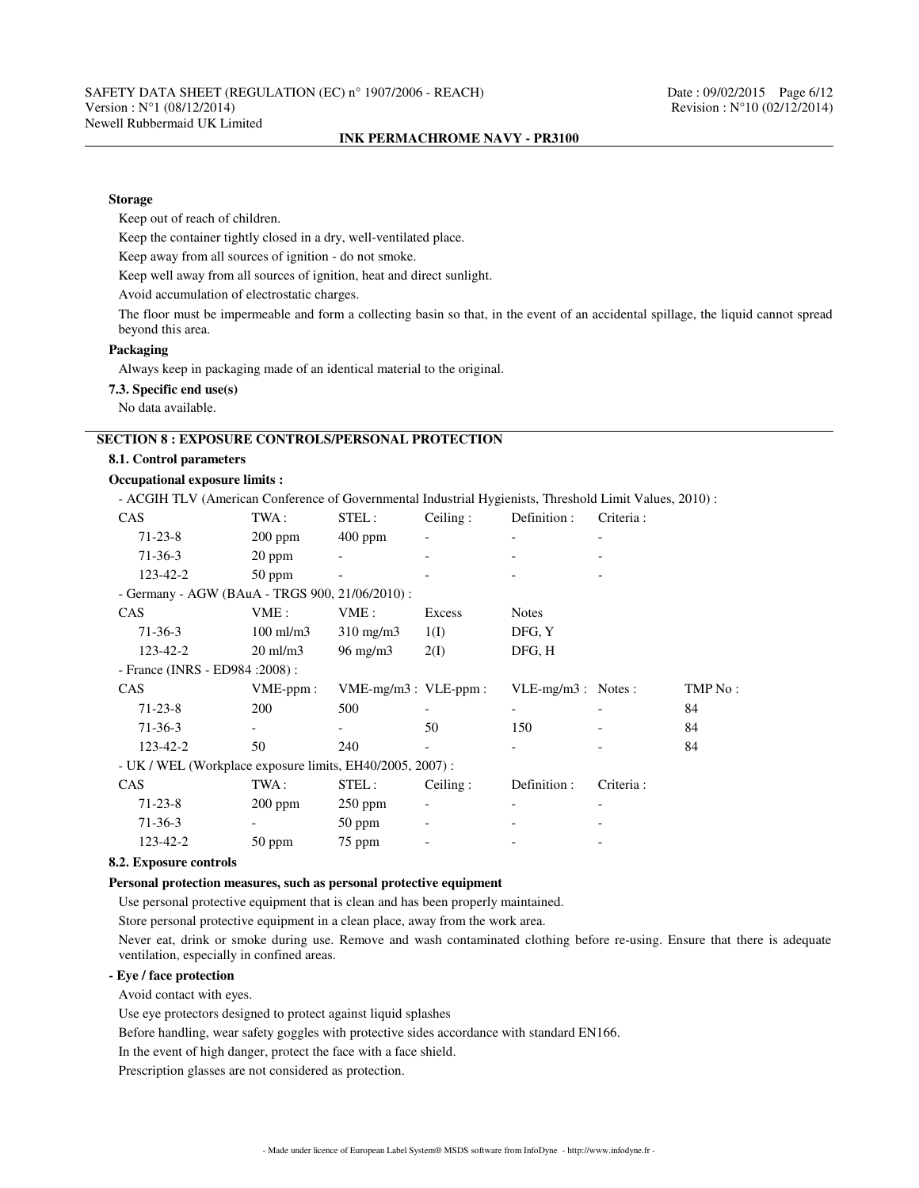#### **Storage**

Keep out of reach of children.

Keep the container tightly closed in a dry, well-ventilated place.

Keep away from all sources of ignition - do not smoke.

Keep well away from all sources of ignition, heat and direct sunlight.

Avoid accumulation of electrostatic charges.

The floor must be impermeable and form a collecting basin so that, in the event of an accidental spillage, the liquid cannot spread beyond this area.

# **Packaging**

Always keep in packaging made of an identical material to the original.

**7.3. Specific end use(s)**

No data available.

# **SECTION 8 : EXPOSURE CONTROLS/PERSONAL PROTECTION**

### **8.1. Control parameters**

### **Occupational exposure limits :**

- ACGIH TLV (American Conference of Governmental Industrial Hygienists, Threshold Limit Values, 2010) :

| <b>CAS</b>                                               | TWA :                | STEL:                     | Ceiling: | Definition :         | Criteria:  |         |
|----------------------------------------------------------|----------------------|---------------------------|----------|----------------------|------------|---------|
| $71 - 23 - 8$                                            | $200$ ppm            | $400$ ppm                 |          |                      |            |         |
| $71-36-3$                                                | $20$ ppm             |                           |          |                      |            |         |
| 123-42-2                                                 | $50$ ppm             |                           |          |                      |            |         |
| - Germany - AGW (BAuA - TRGS 900, 21/06/2010) :          |                      |                           |          |                      |            |         |
| <b>CAS</b>                                               | VME:                 | VME :                     | Excess   | <b>Notes</b>         |            |         |
| $71-36-3$                                                | $100 \text{ ml/m}$ 3 | $310 \text{ mg/m}$        | 1(I)     | DFG, Y               |            |         |
| 123-42-2                                                 | $20 \text{ ml/m}$ 3  | $96 \text{ mg/m}$         | 2(I)     | DFG, H               |            |         |
| - France (INRS - ED984 : 2008) :                         |                      |                           |          |                      |            |         |
|                                                          |                      |                           |          |                      |            |         |
| <b>CAS</b>                                               | $VME-ppm$ :          | $VME-mg/m3$ : $VLE-ppm$ : |          | $VLE-mg/m3$ : Notes: |            | TMP No: |
| $71 - 23 - 8$                                            | 200                  | 500                       |          |                      |            | 84      |
| $71-36-3$                                                |                      |                           | 50       | 150                  |            | 84      |
| 123-42-2                                                 | 50                   | 240                       |          |                      |            | 84      |
| - UK / WEL (Workplace exposure limits, EH40/2005, 2007): |                      |                           |          |                      |            |         |
| <b>CAS</b>                                               | TWA :                | STEL:                     | Ceiling: | Definition :         | Criteria : |         |
| $71 - 23 - 8$                                            | $200$ ppm            | $250$ ppm                 |          |                      |            |         |
| $71-36-3$                                                |                      | $50$ ppm                  |          |                      |            |         |

### **8.2. Exposure controls**

# **Personal protection measures, such as personal protective equipment**

Use personal protective equipment that is clean and has been properly maintained.

Store personal protective equipment in a clean place, away from the work area.

Never eat, drink or smoke during use. Remove and wash contaminated clothing before re-using. Ensure that there is adequate ventilation, especially in confined areas.

# **- Eye / face protection**

Avoid contact with eyes.

Use eye protectors designed to protect against liquid splashes

Before handling, wear safety goggles with protective sides accordance with standard EN166.

In the event of high danger, protect the face with a face shield.

Prescription glasses are not considered as protection.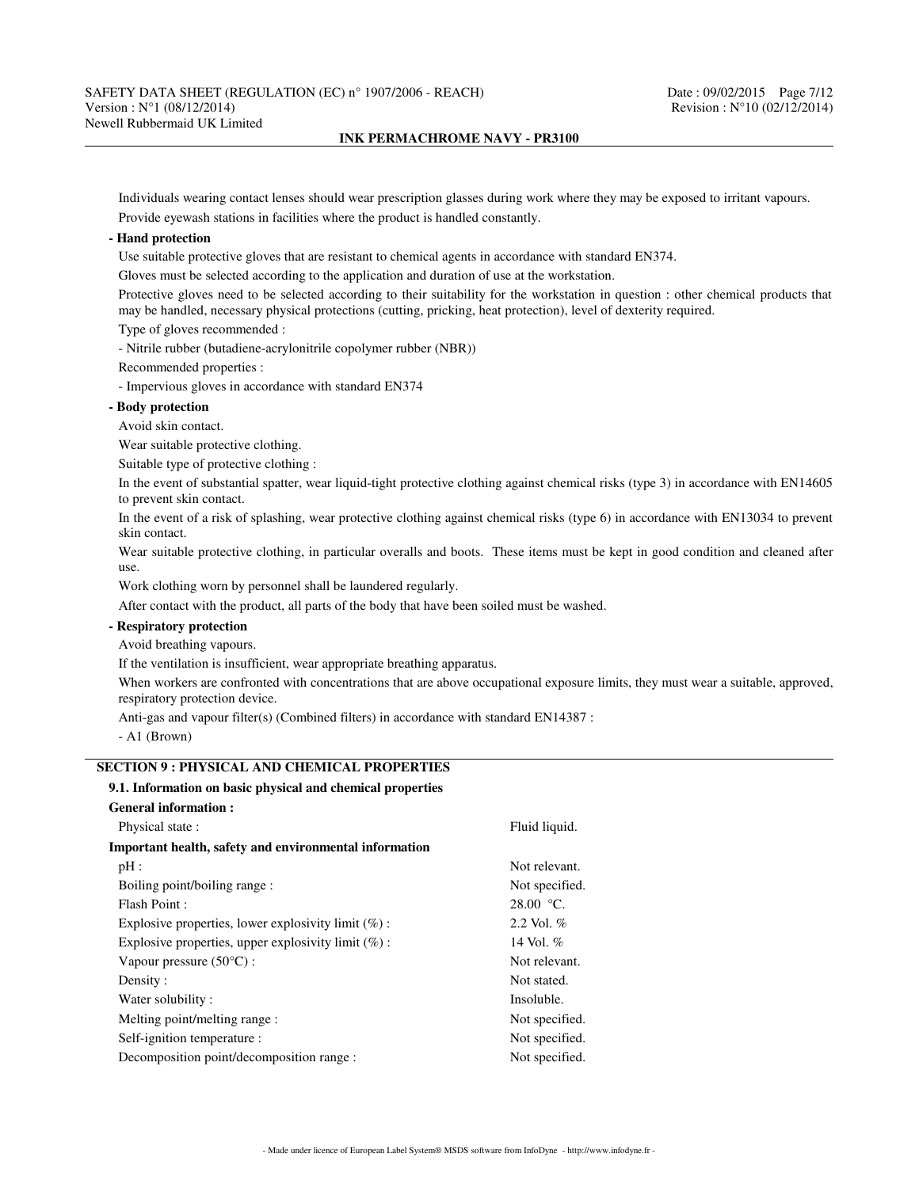Individuals wearing contact lenses should wear prescription glasses during work where they may be exposed to irritant vapours. Provide eyewash stations in facilities where the product is handled constantly.

### **- Hand protection**

Use suitable protective gloves that are resistant to chemical agents in accordance with standard EN374.

Gloves must be selected according to the application and duration of use at the workstation.

Protective gloves need to be selected according to their suitability for the workstation in question : other chemical products that may be handled, necessary physical protections (cutting, pricking, heat protection), level of dexterity required.

Type of gloves recommended :

- Nitrile rubber (butadiene-acrylonitrile copolymer rubber (NBR))

Recommended properties :

- Impervious gloves in accordance with standard EN374

### **- Body protection**

Avoid skin contact.

Wear suitable protective clothing.

Suitable type of protective clothing :

In the event of substantial spatter, wear liquid-tight protective clothing against chemical risks (type 3) in accordance with EN14605 to prevent skin contact.

In the event of a risk of splashing, wear protective clothing against chemical risks (type 6) in accordance with EN13034 to prevent skin contact.

Wear suitable protective clothing, in particular overalls and boots. These items must be kept in good condition and cleaned after use.

Work clothing worn by personnel shall be laundered regularly.

After contact with the product, all parts of the body that have been soiled must be washed.

# **- Respiratory protection**

Avoid breathing vapours.

If the ventilation is insufficient, wear appropriate breathing apparatus.

When workers are confronted with concentrations that are above occupational exposure limits, they must wear a suitable, approved, respiratory protection device.

Anti-gas and vapour filter(s) (Combined filters) in accordance with standard EN14387 :

- A1 (Brown)

# **SECTION 9 : PHYSICAL AND CHEMICAL PROPERTIES**

# **9.1. Information on basic physical and chemical properties**

| <b>General information:</b>                            |                |  |  |
|--------------------------------------------------------|----------------|--|--|
| Physical state:                                        | Fluid liquid.  |  |  |
| Important health, safety and environmental information |                |  |  |
| pH:                                                    | Not relevant.  |  |  |
| Boiling point/boiling range:                           | Not specified. |  |  |
| Flash Point:                                           | $28.00 °C$ .   |  |  |
| Explosive properties, lower explosivity limit $(\%)$ : | 2.2 Vol. $%$   |  |  |
| Explosive properties, upper explosivity limit $(\%)$ : | 14 Vol. $%$    |  |  |
| Vapour pressure $(50^{\circ}C)$ :                      | Not relevant.  |  |  |
| Density:                                               | Not stated.    |  |  |
| Water solubility:                                      | Insoluble.     |  |  |
| Melting point/melting range :                          | Not specified. |  |  |
| Self-ignition temperature :                            | Not specified. |  |  |
| Decomposition point/decomposition range :              | Not specified. |  |  |
|                                                        |                |  |  |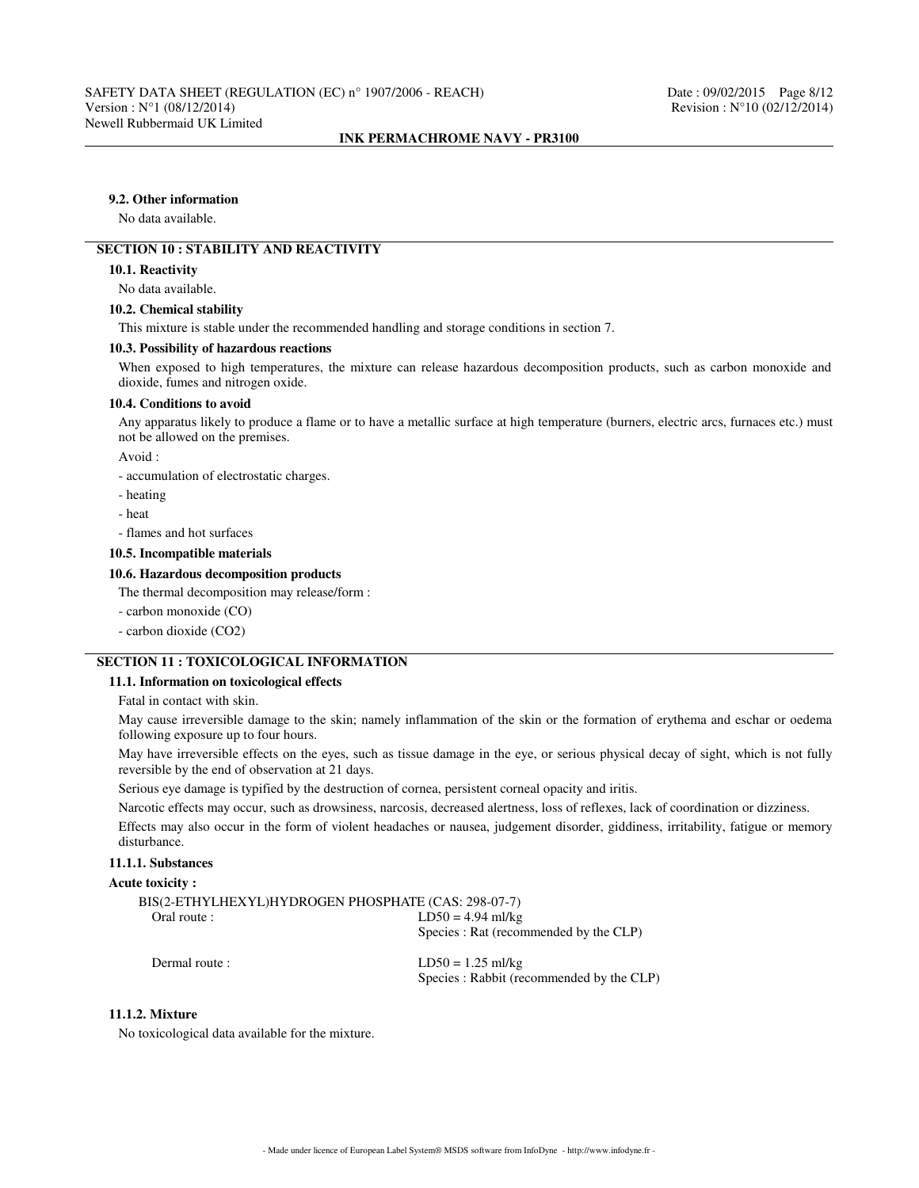# **9.2. Other information**

No data available.

# **SECTION 10 : STABILITY AND REACTIVITY**

### **10.1. Reactivity**

No data available.

### **10.2. Chemical stability**

This mixture is stable under the recommended handling and storage conditions in section 7.

#### **10.3. Possibility of hazardous reactions**

When exposed to high temperatures, the mixture can release hazardous decomposition products, such as carbon monoxide and dioxide, fumes and nitrogen oxide.

#### **10.4. Conditions to avoid**

Any apparatus likely to produce a flame or to have a metallic surface at high temperature (burners, electric arcs, furnaces etc.) must not be allowed on the premises.

Avoid :

- accumulation of electrostatic charges.

- heating
- heat
- flames and hot surfaces

#### **10.5. Incompatible materials**

#### **10.6. Hazardous decomposition products**

The thermal decomposition may release/form :

- carbon monoxide (CO)
- carbon dioxide (CO2)

# **SECTION 11 : TOXICOLOGICAL INFORMATION**

### **11.1. Information on toxicological effects**

Fatal in contact with skin.

May cause irreversible damage to the skin; namely inflammation of the skin or the formation of erythema and eschar or oedema following exposure up to four hours.

May have irreversible effects on the eyes, such as tissue damage in the eye, or serious physical decay of sight, which is not fully reversible by the end of observation at 21 days.

Serious eye damage is typified by the destruction of cornea, persistent corneal opacity and iritis.

Narcotic effects may occur, such as drowsiness, narcosis, decreased alertness, loss of reflexes, lack of coordination or dizziness.

Effects may also occur in the form of violent headaches or nausea, judgement disorder, giddiness, irritability, fatigue or memory disturbance.

# **11.1.1. Substances**

# **Acute toxicity :**

| BIS(2-ETHYLHEXYL)HYDROGEN PHOSPHATE (CAS: 298-07-7) |                                        |
|-----------------------------------------------------|----------------------------------------|
| Oral route :                                        | $LD50 = 4.94$ ml/kg                    |
|                                                     | Species : Rat (recommended by the CLP) |
| Dermal route :                                      | $LD50 = 1.25$ ml/kg                    |

Species : Rabbit (recommended by the CLP)

# **11.1.2. Mixture**

No toxicological data available for the mixture.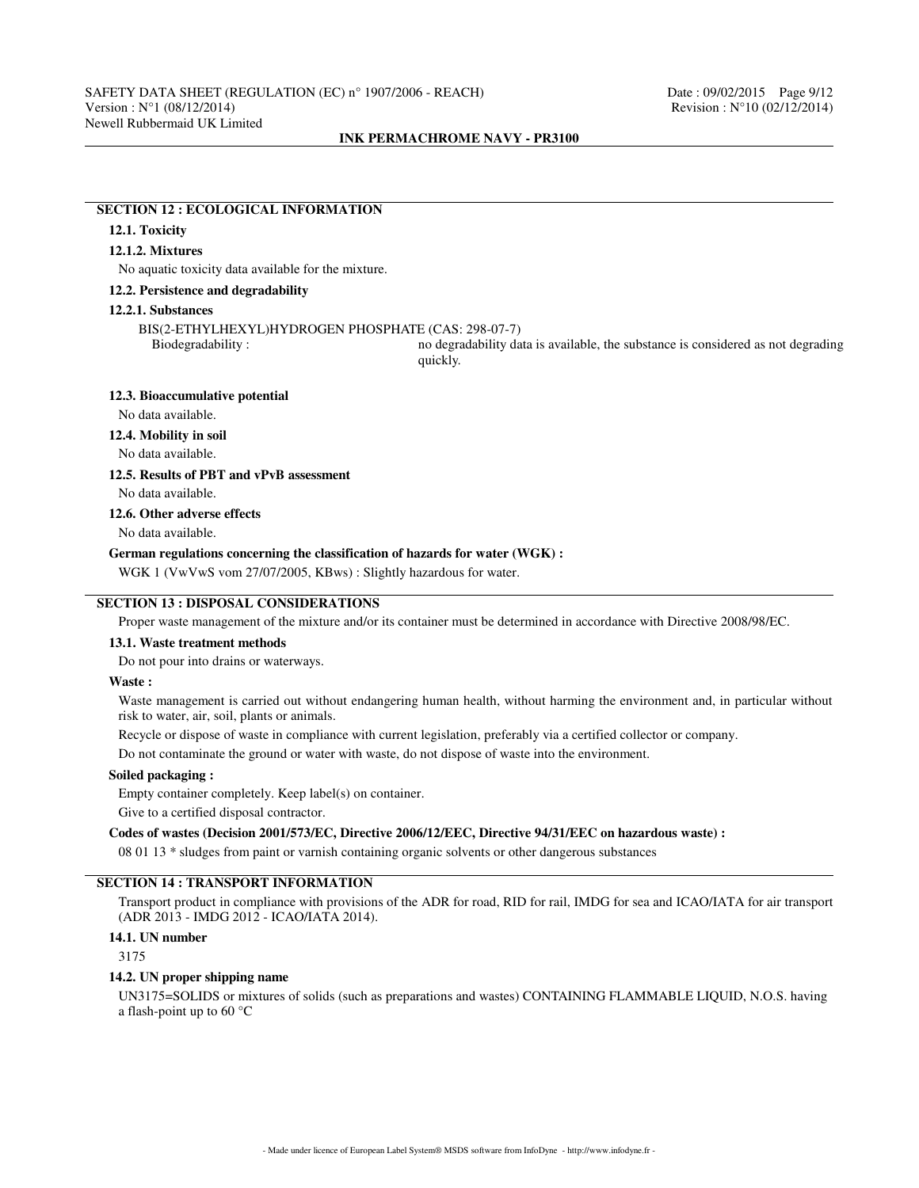# **SECTION 12 : ECOLOGICAL INFORMATION**

# **12.1. Toxicity**

### **12.1.2. Mixtures**

No aquatic toxicity data available for the mixture.

### **12.2. Persistence and degradability**

#### **12.2.1. Substances**

BIS(2-ETHYLHEXYL)HYDROGEN PHOSPHATE (CAS: 298-07-7)

no degradability data is available, the substance is considered as not degrading quickly.

#### **12.3. Bioaccumulative potential**

No data available.

### **12.4. Mobility in soil**

No data available.

### **12.5. Results of PBT and vPvB assessment**

No data available.

### **12.6. Other adverse effects**

No data available.

#### **German regulations concerning the classification of hazards for water (WGK) :**

WGK 1 (VwVwS vom 27/07/2005, KBws) : Slightly hazardous for water.

# **SECTION 13 : DISPOSAL CONSIDERATIONS**

Proper waste management of the mixture and/or its container must be determined in accordance with Directive 2008/98/EC.

### **13.1. Waste treatment methods**

Do not pour into drains or waterways.

#### **Waste :**

Waste management is carried out without endangering human health, without harming the environment and, in particular without risk to water, air, soil, plants or animals.

Recycle or dispose of waste in compliance with current legislation, preferably via a certified collector or company.

Do not contaminate the ground or water with waste, do not dispose of waste into the environment.

### **Soiled packaging :**

Empty container completely. Keep label(s) on container.

Give to a certified disposal contractor.

### **Codes of wastes (Decision 2001/573/EC, Directive 2006/12/EEC, Directive 94/31/EEC on hazardous waste) :**

08 01 13 \* sludges from paint or varnish containing organic solvents or other dangerous substances

# **SECTION 14 : TRANSPORT INFORMATION**

Transport product in compliance with provisions of the ADR for road, RID for rail, IMDG for sea and ICAO/IATA for air transport (ADR 2013 - IMDG 2012 - ICAO/IATA 2014).

# **14.1. UN number**

3175

#### **14.2. UN proper shipping name**

UN3175=SOLIDS or mixtures of solids (such as preparations and wastes) CONTAINING FLAMMABLE LIQUID, N.O.S. having a flash-point up to 60 °C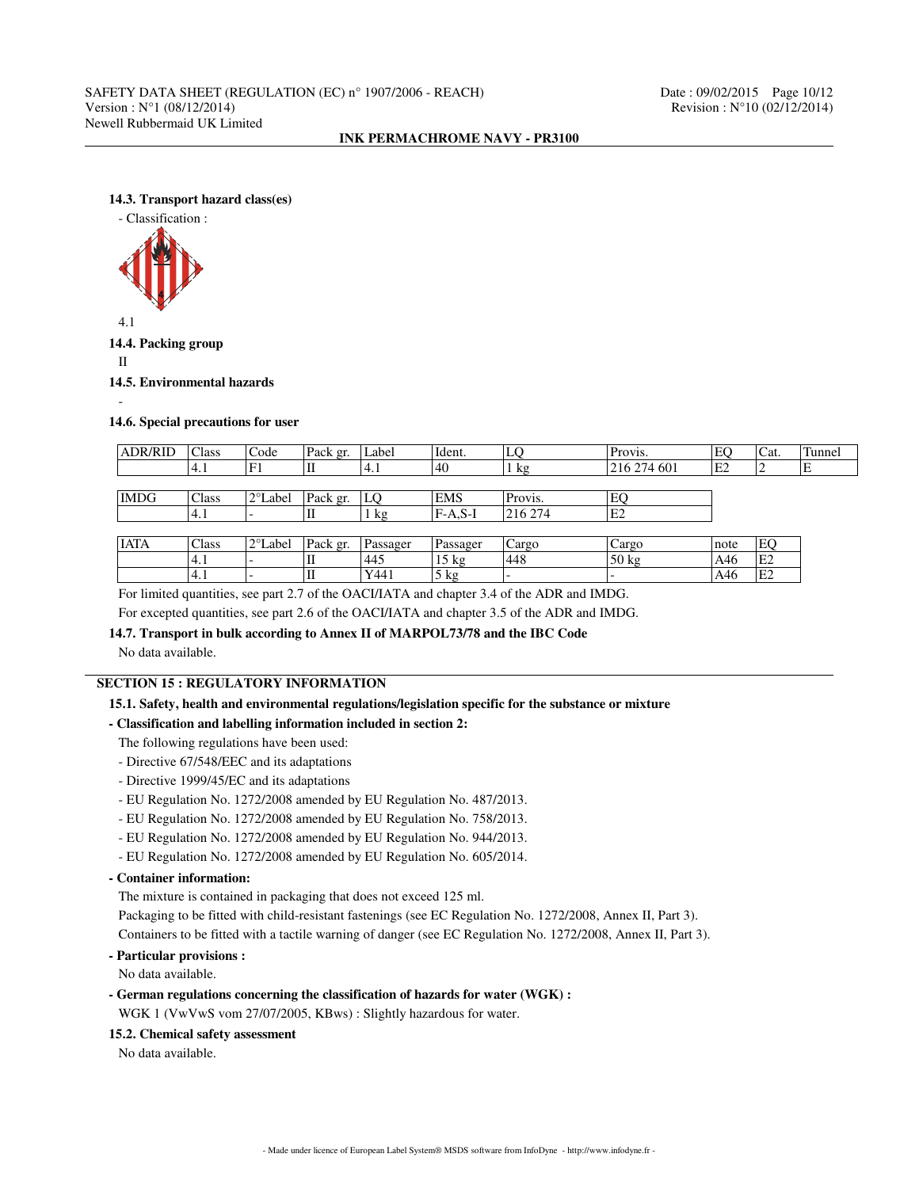### **14.3. Transport hazard class(es)**



4.1

**14.4. Packing group**

II

**14.5. Environmental hazards**

-

### **14.6. Special precautions for user**

| <b>ADR/RID</b> | Class | Code              | Pack gr. | Label    | Ident.          | LO      | Provis.         | EO             | Cat.           | Tunnel |
|----------------|-------|-------------------|----------|----------|-----------------|---------|-----------------|----------------|----------------|--------|
|                | 4.1   | 'F1               |          | 4.1      | 40              | kg      | 216 274 601     | E <sub>2</sub> |                | Е      |
|                |       |                   |          |          |                 |         |                 |                |                |        |
| <b>IMDG</b>    | Class | $2^{\circ}$ Label | Pack gr. | LO       | <b>EMS</b>      | Provis. | EO              |                |                |        |
|                | 4.1   |                   | П        | 1 kg     | $FA.S-I$        | 216 274 | E2              |                |                |        |
|                |       |                   |          |          |                 |         |                 |                |                |        |
| <b>IATA</b>    | Class | 2°Label           | Pack gr. | Passager | Passager        | Cargo   | Cargo           | note           | EQ             |        |
|                | 4.1   |                   |          | 445      | $15 \text{ kg}$ | 1448    | $50 \text{ kg}$ | A46            | E <sub>2</sub> |        |
|                | 4.1   |                   |          | Y441     | $5$ kg          |         |                 | A46            | E <sub>2</sub> |        |

For limited quantities, see part 2.7 of the OACI/IATA and chapter 3.4 of the ADR and IMDG.

For excepted quantities, see part 2.6 of the OACI/IATA and chapter 3.5 of the ADR and IMDG.

### **14.7. Transport in bulk according to Annex II of MARPOL73/78 and the IBC Code**

No data available.

# **SECTION 15 : REGULATORY INFORMATION**

# **15.1. Safety, health and environmental regulations/legislation specific for the substance or mixture**

# **- Classification and labelling information included in section 2:**

The following regulations have been used:

- Directive 67/548/EEC and its adaptations
- Directive 1999/45/EC and its adaptations
- EU Regulation No. 1272/2008 amended by EU Regulation No. 487/2013.
- EU Regulation No. 1272/2008 amended by EU Regulation No. 758/2013.
- EU Regulation No. 1272/2008 amended by EU Regulation No. 944/2013.
- EU Regulation No. 1272/2008 amended by EU Regulation No. 605/2014.

# **- Container information:**

The mixture is contained in packaging that does not exceed 125 ml.

Packaging to be fitted with child-resistant fastenings (see EC Regulation No. 1272/2008, Annex II, Part 3).

Containers to be fitted with a tactile warning of danger (see EC Regulation No. 1272/2008, Annex II, Part 3).

# **- Particular provisions :**

No data available.

**- German regulations concerning the classification of hazards for water (WGK) :**

WGK 1 (VwVwS vom 27/07/2005, KBws) : Slightly hazardous for water.

# **15.2. Chemical safety assessment**

No data available.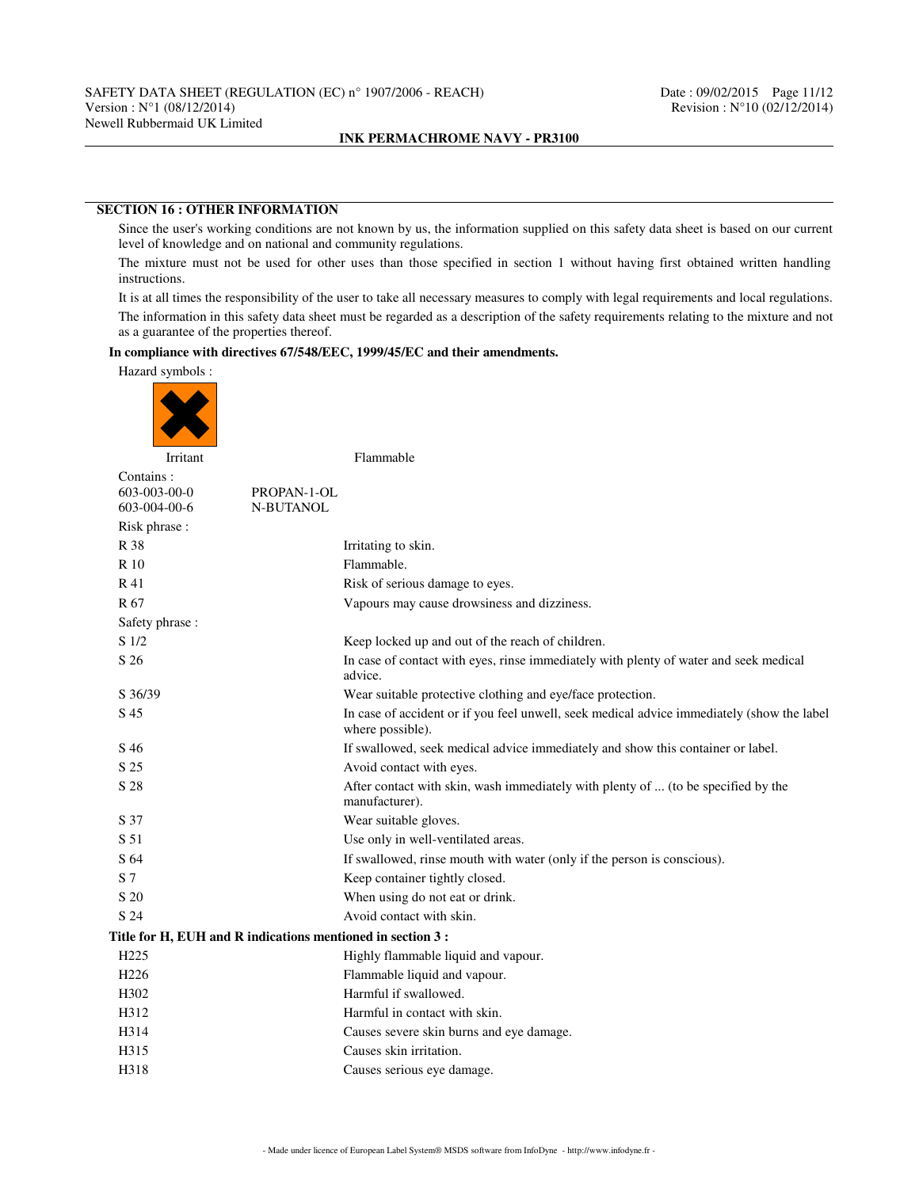# **SECTION 16 : OTHER INFORMATION**

Since the user's working conditions are not known by us, the information supplied on this safety data sheet is based on our current level of knowledge and on national and community regulations.

The mixture must not be used for other uses than those specified in section 1 without having first obtained written handling instructions.

It is at all times the responsibility of the user to take all necessary measures to comply with legal requirements and local regulations.

The information in this safety data sheet must be regarded as a description of the safety requirements relating to the mixture and not as a guarantee of the properties thereof.

# **In compliance with directives 67/548/EEC, 1999/45/EC and their amendments.**

Hazard symbols :



Contains : 603-003-00-0 PROPAN-1-OL<br>603-004-00-6 N-BUTANOL N-BUTANOL Risk phrase : R 38 Irritating to skin. R 10 Flammable. R 41 Risk of serious damage to eyes. R 67 Vapours may cause drowsiness and dizziness. Safety phrase : S  $1/2$  Keep locked up and out of the reach of children. S 26 In case of contact with eyes, rinse immediately with plenty of water and seek medical advice. S 36/39 Wear suitable protective clothing and eye/face protection. S 45 In case of accident or if you feel unwell, seek medical advice immediately (show the label where possible). S 46 If swallowed, seek medical advice immediately and show this container or label. S 25 Avoid contact with eyes. S 28 After contact with skin, wash immediately with plenty of ... (to be specified by the manufacturer). S 37 Wear suitable gloves. S 51 Use only in well-ventilated areas. S 64 If swallowed, rinse mouth with water (only if the person is conscious). S 7 Keep container tightly closed. S 20 When using do not eat or drink. S 24 Avoid contact with skin. **Title for H, EUH and R indications mentioned in section 3 :** H225 Highly flammable liquid and vapour. H226 Flammable liquid and vapour. H302 Harmful if swallowed. H312 Harmful in contact with skin. H314 Causes severe skin burns and eye damage. H315 Causes skin irritation. H318 Causes serious eye damage.